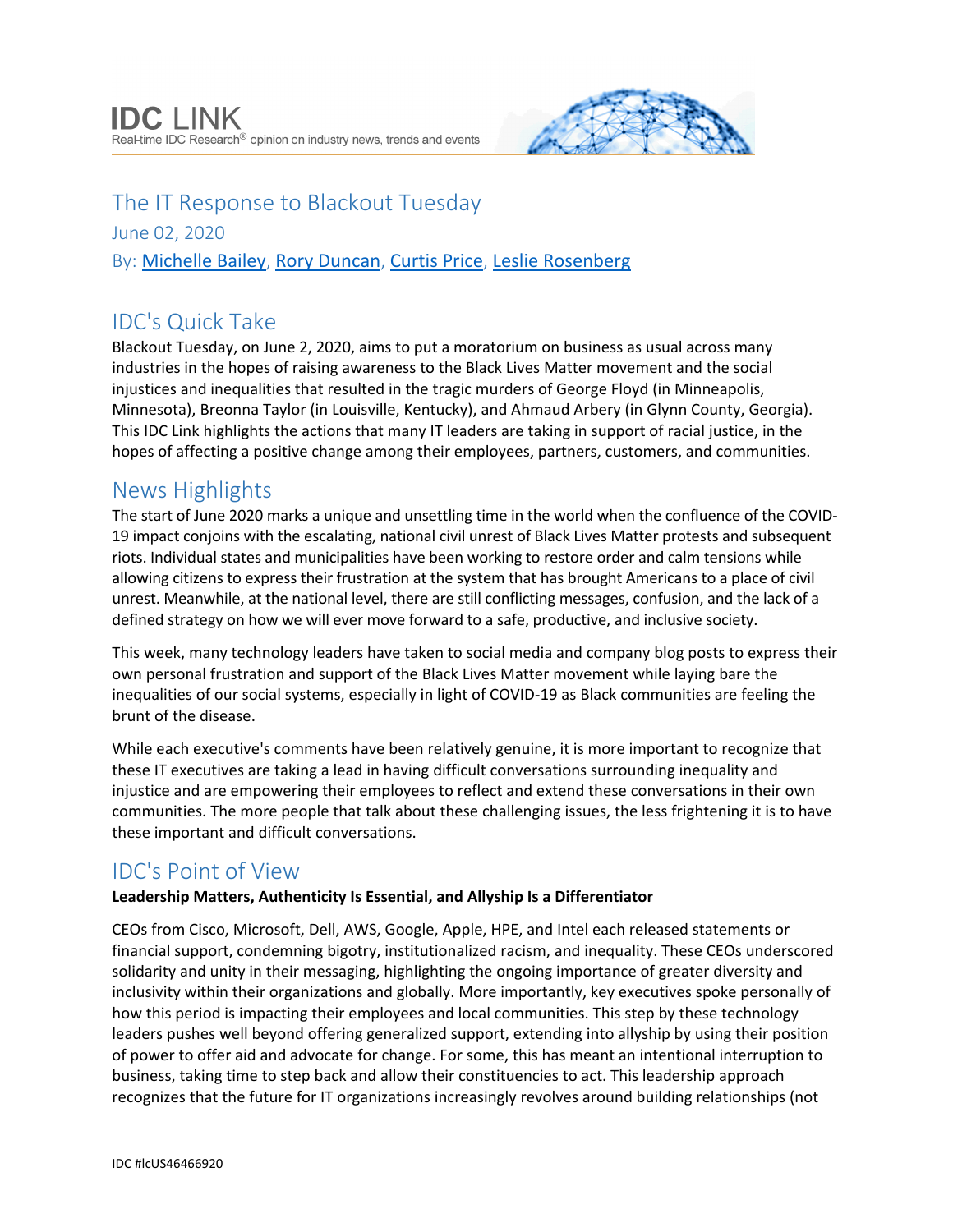

The IT Response to Blackout Tuesday June 02, 2020 By: [Michelle Bailey](http://www.idc.com/getdoc.jsp?containerId=PRF000014), [Rory Duncan](http://www.idc.com/getdoc.jsp?containerId=PRF005056), [Curtis Price](http://www.idc.com/getdoc.jsp?containerId=PRF002456), [Leslie Rosenberg](http://www.idc.com/getdoc.jsp?containerId=PRF002779)

# IDC's Quick Take

Blackout Tuesday, on June 2, 2020, aims to put a moratorium on business as usual across many industries in the hopes of raising awareness to the Black Lives Matter movement and the social injustices and inequalities that resulted in the tragic murders of George Floyd (in Minneapolis, Minnesota), Breonna Taylor (in Louisville, Kentucky), and Ahmaud Arbery (in Glynn County, Georgia). This IDC Link highlights the actions that many IT leaders are taking in support of racial justice, in the hopes of affecting a positive change among their employees, partners, customers, and communities.

### News Highlights

The start of June 2020 marks a unique and unsettling time in the world when the confluence of the COVID-19 impact conjoins with the escalating, national civil unrest of Black Lives Matter protests and subsequent riots. Individual states and municipalities have been working to restore order and calm tensions while allowing citizens to express their frustration at the system that has brought Americans to a place of civil unrest. Meanwhile, at the national level, there are still conflicting messages, confusion, and the lack of a defined strategy on how we will ever move forward to a safe, productive, and inclusive society.

This week, many technology leaders have taken to social media and company blog posts to express their own personal frustration and support of the Black Lives Matter movement while laying bare the inequalities of our social systems, especially in light of COVID-19 as Black communities are feeling the brunt of the disease.

While each executive's comments have been relatively genuine, it is more important to recognize that these IT executives are taking a lead in having difficult conversations surrounding inequality and injustice and are empowering their employees to reflect and extend these conversations in their own communities. The more people that talk about these challenging issues, the less frightening it is to have these important and difficult conversations.

## IDC's Point of View

### **Leadership Matters, Authenticity Is Essential, and Allyship Is a Differentiator**

CEOs from Cisco, Microsoft, Dell, AWS, Google, Apple, HPE, and Intel each released statements or financial support, condemning bigotry, institutionalized racism, and inequality. These CEOs underscored solidarity and unity in their messaging, highlighting the ongoing importance of greater diversity and inclusivity within their organizations and globally. More importantly, key executives spoke personally of how this period is impacting their employees and local communities. This step by these technology leaders pushes well beyond offering generalized support, extending into allyship by using their position of power to offer aid and advocate for change. For some, this has meant an intentional interruption to business, taking time to step back and allow their constituencies to act. This leadership approach recognizes that the future for IT organizations increasingly revolves around building relationships (not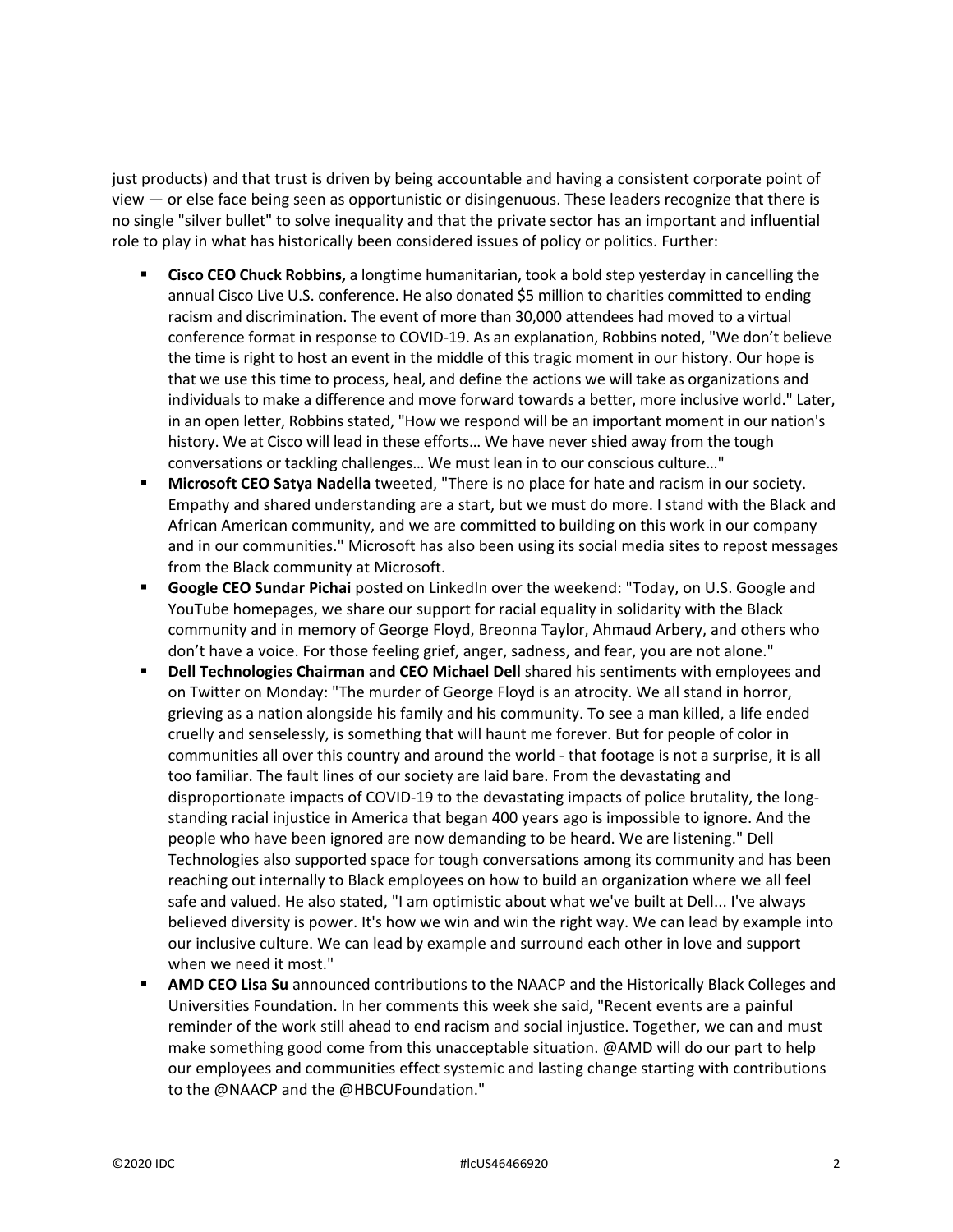just products) and that trust is driven by being accountable and having a consistent corporate point of view — or else face being seen as opportunistic or disingenuous. These leaders recognize that there is no single "silver bullet" to solve inequality and that the private sector has an important and influential role to play in what has historically been considered issues of policy or politics. Further:

- **Cisco CEO Chuck Robbins,** a longtime humanitarian, took a bold step yesterday in cancelling the annual Cisco Live U.S. conference. He also donated \$5 million to charities committed to ending racism and discrimination. The event of more than 30,000 attendees had moved to a virtual conference format in response to COVID-19. As an explanation, Robbins noted, "We don't believe the time is right to host an event in the middle of this tragic moment in our history. Our hope is that we use this time to process, heal, and define the actions we will take as organizations and individuals to make a difference and move forward towards a better, more inclusive world." Later, in an open letter, Robbins stated, "How we respond will be an important moment in our nation's history. We at Cisco will lead in these efforts… We have never shied away from the tough conversations or tackling challenges… We must lean in to our conscious culture…"
- **Microsoft CEO Satya Nadella** tweeted, "There is no place for hate and racism in our society. Empathy and shared understanding are a start, but we must do more. I stand with the Black and African American community, and we are committed to building on this work in our company and in our communities." Microsoft has also been using its social media sites to repost messages from the Black community at Microsoft.
- **Google CEO Sundar Pichai** posted on LinkedIn over the weekend: "Today, on U.S. Google and YouTube homepages, we share our support for racial equality in solidarity with the Black community and in memory of George Floyd, Breonna Taylor, Ahmaud Arbery, and others who don't have a voice. For those feeling grief, anger, sadness, and fear, you are not alone."
- **Dell Technologies Chairman and CEO Michael Dell** shared his sentiments with employees and on Twitter on Monday: "The murder of George Floyd is an atrocity. We all stand in horror, grieving as a nation alongside his family and his community. To see a man killed, a life ended cruelly and senselessly, is something that will haunt me forever. But for people of color in communities all over this country and around the world - that footage is not a surprise, it is all too familiar. The fault lines of our society are laid bare. From the devastating and disproportionate impacts of COVID-19 to the devastating impacts of police brutality, the longstanding racial injustice in America that began 400 years ago is impossible to ignore. And the people who have been ignored are now demanding to be heard. We are listening." Dell Technologies also supported space for tough conversations among its community and has been reaching out internally to Black employees on how to build an organization where we all feel safe and valued. He also stated, "I am optimistic about what we've built at Dell... I've always believed diversity is power. It's how we win and win the right way. We can lead by example into our inclusive culture. We can lead by example and surround each other in love and support when we need it most."
- **AMD CEO Lisa Su** announced contributions to the NAACP and the Historically Black Colleges and Universities Foundation. In her comments this week she said, "Recent events are a painful reminder of the work still ahead to end racism and social injustice. Together, we can and must make something good come from this unacceptable situation. @AMD will do our part to help our employees and communities effect systemic and lasting change starting with contributions to the @NAACP and the @HBCUFoundation."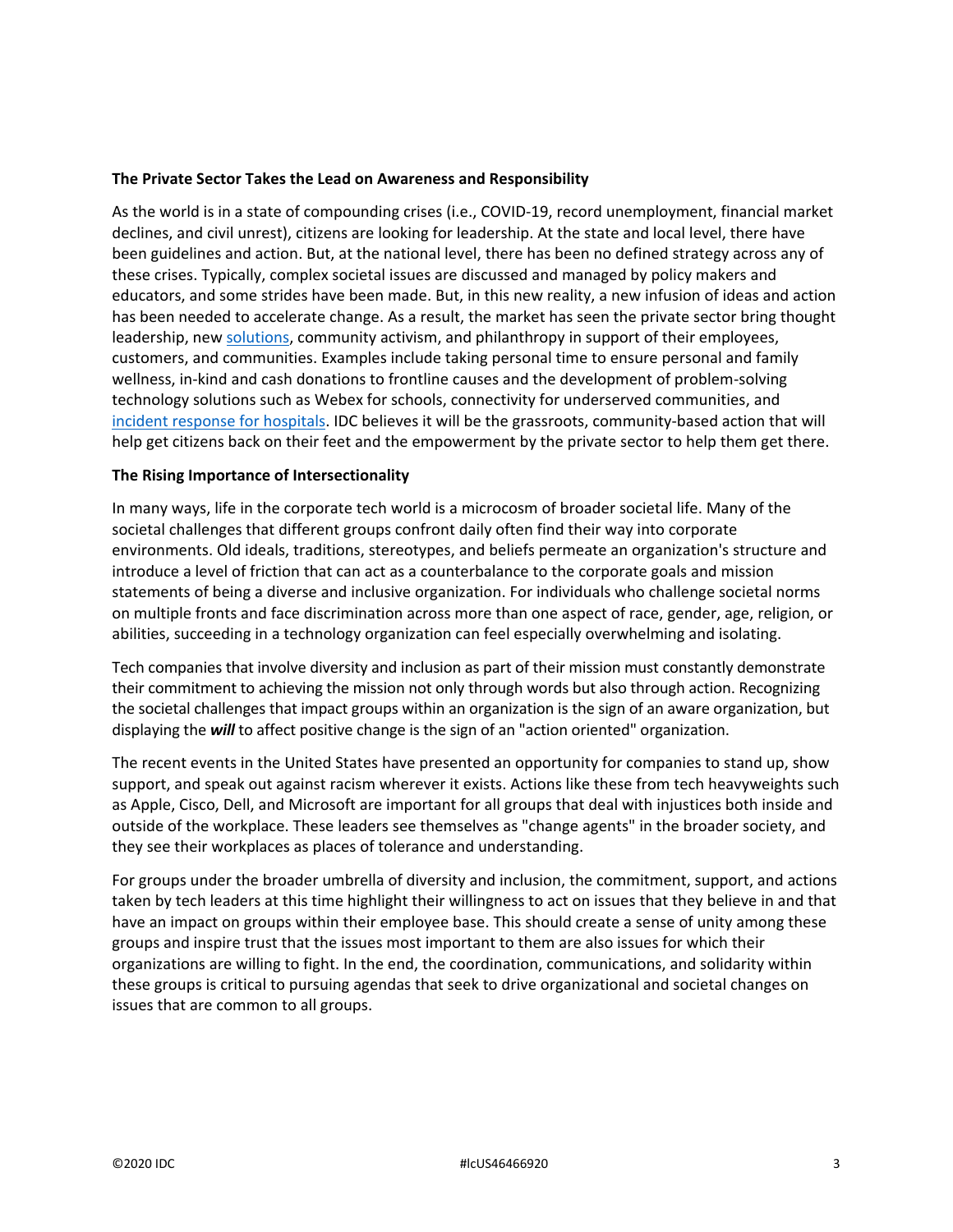#### **The Private Sector Takes the Lead on Awareness and Responsibility**

As the world is in a state of compounding crises (i.e., COVID-19, record unemployment, financial market declines, and civil unrest), citizens are looking for leadership. At the state and local level, there have been guidelines and action. But, at the national level, there has been no defined strategy across any of these crises. Typically, complex societal issues are discussed and managed by policy makers and educators, and some strides have been made. But, in this new reality, a new infusion of ideas and action has been needed to accelerate change. As a result, the market has seen the private sector bring thought leadership, ne[w solutions,](https://www.idc.com/getdoc.jsp?containerId=US46220520) community activism, and philanthropy in support of their employees, customers, and communities. Examples include taking personal time to ensure personal and family wellness, in-kind and cash donations to frontline causes and the development of problem-solving technology solutions such as Webex for schools, connectivity for underserved communities, and [incident response for hospitals.](https://www.idc.com/getdoc.jsp?containerId=US46394320) IDC believes it will be the grassroots, community-based action that will help get citizens back on their feet and the empowerment by the private sector to help them get there.

#### **The Rising Importance of Intersectionality**

In many ways, life in the corporate tech world is a microcosm of broader societal life. Many of the societal challenges that different groups confront daily often find their way into corporate environments. Old ideals, traditions, stereotypes, and beliefs permeate an organization's structure and introduce a level of friction that can act as a counterbalance to the corporate goals and mission statements of being a diverse and inclusive organization. For individuals who challenge societal norms on multiple fronts and face discrimination across more than one aspect of race, gender, age, religion, or abilities, succeeding in a technology organization can feel especially overwhelming and isolating.

Tech companies that involve diversity and inclusion as part of their mission must constantly demonstrate their commitment to achieving the mission not only through words but also through action. Recognizing the societal challenges that impact groups within an organization is the sign of an aware organization, but displaying the *will* to affect positive change is the sign of an "action oriented" organization.

The recent events in the United States have presented an opportunity for companies to stand up, show support, and speak out against racism wherever it exists. Actions like these from tech heavyweights such as Apple, Cisco, Dell, and Microsoft are important for all groups that deal with injustices both inside and outside of the workplace. These leaders see themselves as "change agents" in the broader society, and they see their workplaces as places of tolerance and understanding.

For groups under the broader umbrella of diversity and inclusion, the commitment, support, and actions taken by tech leaders at this time highlight their willingness to act on issues that they believe in and that have an impact on groups within their employee base. This should create a sense of unity among these groups and inspire trust that the issues most important to them are also issues for which their organizations are willing to fight. In the end, the coordination, communications, and solidarity within these groups is critical to pursuing agendas that seek to drive organizational and societal changes on issues that are common to all groups.